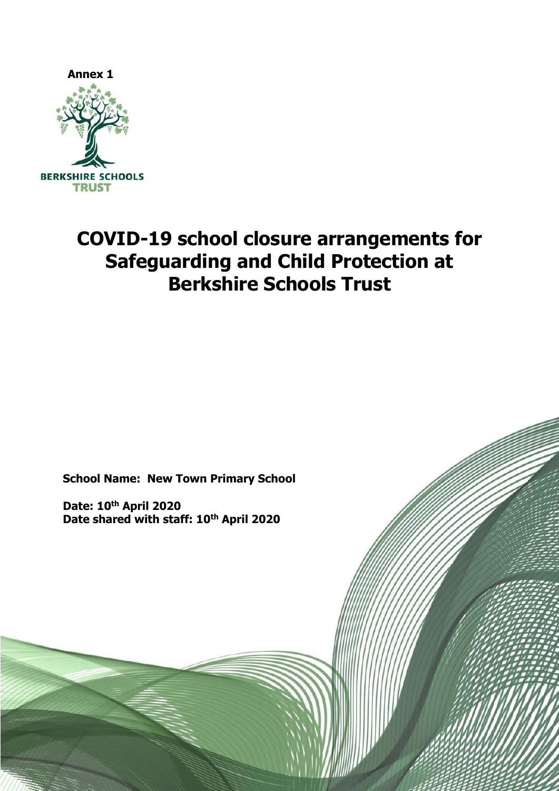

# **COVID-19 school closure arrangements for Safeguarding and Child Protection at Berkshire Schools Trust**

**School Name: New Town Primary School**

**Date: 10th April 2020 Date shared with staff: 10th April 2020**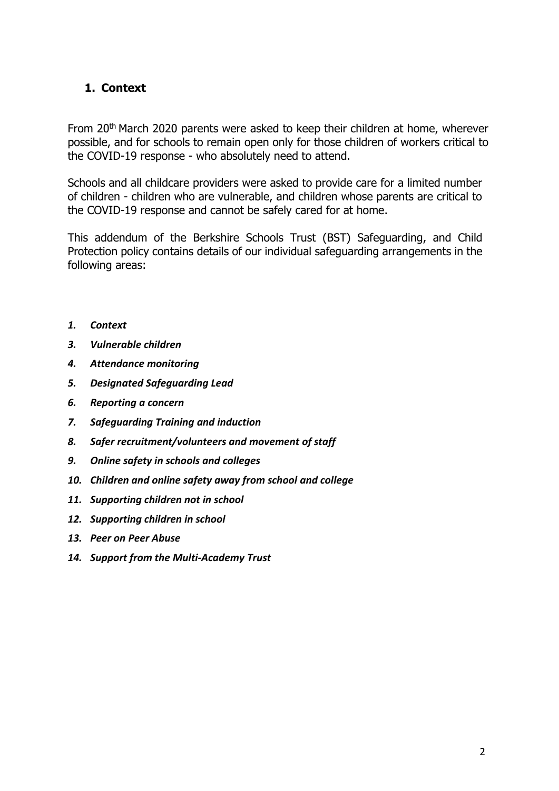# <span id="page-1-0"></span>**1. Context**

From 20th March 2020 parents were asked to keep their children at home, wherever possible, and for schools to remain open only for those children of workers critical to the COVID-19 response - who absolutely need to attend.

Schools and all childcare providers were asked to provide care for a limited number of children - children who are vulnerable, and children whose parents are critical to the COVID-19 response and cannot be safely cared for at home.

This addendum of the Berkshire Schools Trust (BST) Safeguarding, and Child Protection policy contains details of our individual safeguarding arrangements in the following areas:

- *1. [Context](#page-1-0)*
- *3. Vulnerable children*
- *4. Attendance monitoring*
- *5. Designated Safeguarding Lead*
- *6. Reporting a concern*
- *7. Safeguarding Training and induction*
- *8. Safer recruitment/volunteers and movement of staff*
- *9. Online safety in schools and colleges*
- *10. Children and online safety away from school and college*
- *11. Supporting children not in school*
- *12. Supporting children in school*
- *13. Peer on Peer Abuse*
- *14. Support from the Multi-Academy Trust*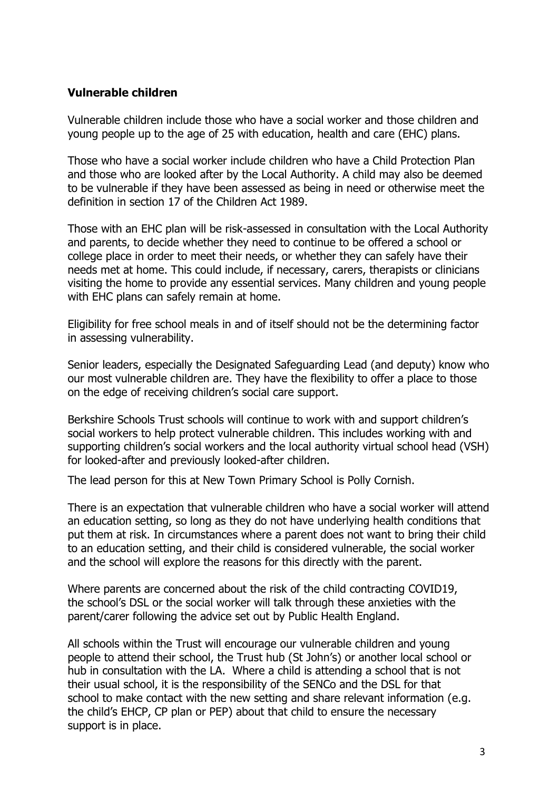## **Vulnerable children**

Vulnerable children include those who have a social worker and those children and young people up to the age of 25 with education, health and care (EHC) plans.

Those who have a social worker include children who have a Child Protection Plan and those who are looked after by the Local Authority. A child may also be deemed to be vulnerable if they have been assessed as being in need or otherwise meet the definition in section 17 of the Children Act 1989.

Those with an EHC plan will be risk-assessed in consultation with the Local Authority and parents, to decide whether they need to continue to be offered a school or college place in order to meet their needs, or whether they can safely have their needs met at home. This could include, if necessary, carers, therapists or clinicians visiting the home to provide any essential services. Many children and young people with EHC plans can safely remain at home.

Eligibility for free school meals in and of itself should not be the determining factor in assessing vulnerability.

Senior leaders, especially the Designated Safeguarding Lead (and deputy) know who our most vulnerable children are. They have the flexibility to offer a place to those on the edge of receiving children's social care support.

Berkshire Schools Trust schools will continue to work with and support children's social workers to help protect vulnerable children. This includes working with and supporting children's social workers and the local authority virtual school head (VSH) for looked-after and previously looked-after children.

The lead person for this at New Town Primary School is Polly Cornish.

There is an expectation that vulnerable children who have a social worker will attend an education setting, so long as they do not have underlying health conditions that put them at risk. In circumstances where a parent does not want to bring their child to an education setting, and their child is considered vulnerable, the social worker and the school will explore the reasons for this directly with the parent.

Where parents are concerned about the risk of the child contracting COVID19, the school's DSL or the social worker will talk through these anxieties with the parent/carer following the advice set out by Public Health England.

All schools within the Trust will encourage our vulnerable children and young people to attend their school, the Trust hub (St John's) or another local school or hub in consultation with the LA. Where a child is attending a school that is not their usual school, it is the responsibility of the SENCo and the DSL for that school to make contact with the new setting and share relevant information (e.g. the child's EHCP, CP plan or PEP) about that child to ensure the necessary support is in place.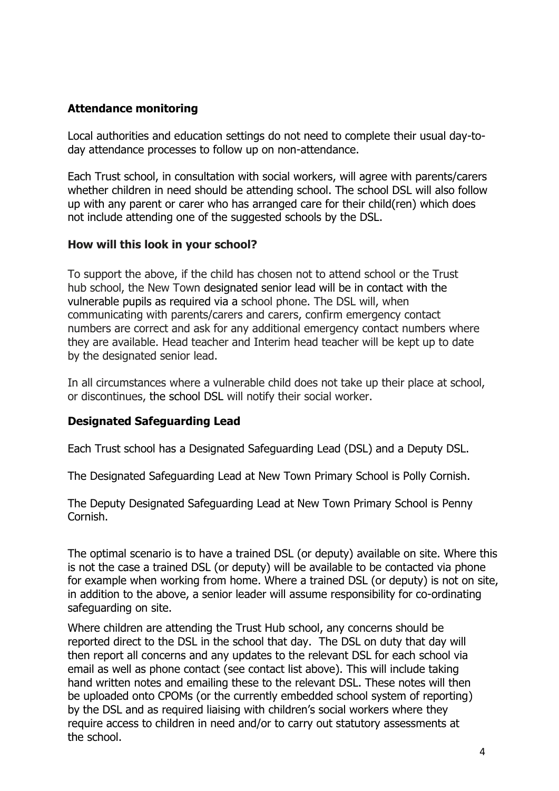## **Attendance monitoring**

Local authorities and education settings do not need to complete their usual day-today attendance processes to follow up on non-attendance.

Each Trust school, in consultation with social workers, will agree with parents/carers whether children in need should be attending school. The school DSL will also follow up with any parent or carer who has arranged care for their child(ren) which does not include attending one of the suggested schools by the DSL.

## **How will this look in your school?**

To support the above, if the child has chosen not to attend school or the Trust hub school, the New Town designated senior lead will be in contact with the vulnerable pupils as required via a school phone. The DSL will, when communicating with parents/carers and carers, confirm emergency contact numbers are correct and ask for any additional emergency contact numbers where they are available. Head teacher and Interim head teacher will be kept up to date by the designated senior lead.

In all circumstances where a vulnerable child does not take up their place at school, or discontinues, the school DSL will notify their social worker.

#### **Designated Safeguarding Lead**

Each Trust school has a Designated Safeguarding Lead (DSL) and a Deputy DSL.

The Designated Safeguarding Lead at New Town Primary School is Polly Cornish.

The Deputy Designated Safeguarding Lead at New Town Primary School is Penny Cornish.

The optimal scenario is to have a trained DSL (or deputy) available on site. Where this is not the case a trained DSL (or deputy) will be available to be contacted via phone for example when working from home. Where a trained DSL (or deputy) is not on site, in addition to the above, a senior leader will assume responsibility for co-ordinating safeguarding on site.

Where children are attending the Trust Hub school, any concerns should be reported direct to the DSL in the school that day. The DSL on duty that day will then report all concerns and any updates to the relevant DSL for each school via email as well as phone contact (see contact list above). This will include taking hand written notes and emailing these to the relevant DSL. These notes will then be uploaded onto CPOMs (or the currently embedded school system of reporting) by the DSL and as required liaising with children's social workers where they require access to children in need and/or to carry out statutory assessments at the school.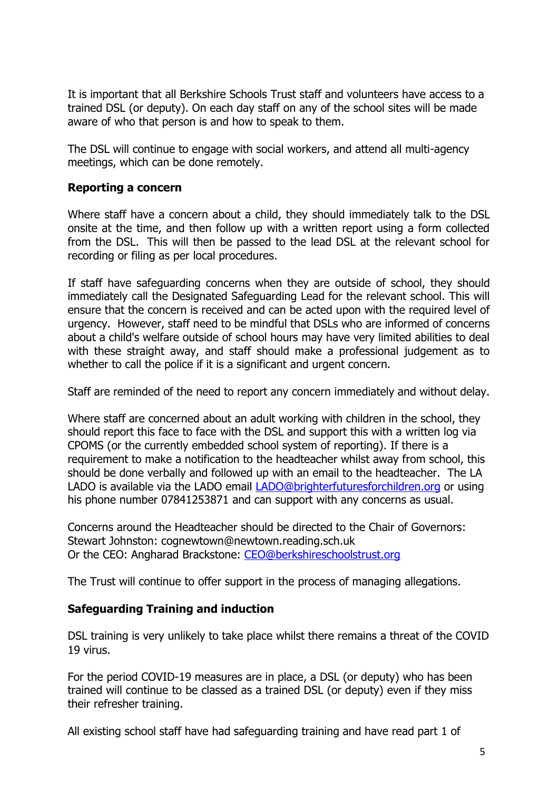It is important that all Berkshire Schools Trust staff and volunteers have access to a trained DSL (or deputy). On each day staff on any of the school sites will be made aware of who that person is and how to speak to them.

The DSL will continue to engage with social workers, and attend all multi-agency meetings, which can be done remotely.

## **Reporting a concern**

Where staff have a concern about a child, they should immediately talk to the DSL onsite at the time, and then follow up with a written report using a form collected from the DSL. This will then be passed to the lead DSL at the relevant school for recording or filing as per local procedures.

If staff have safeguarding concerns when they are outside of school, they should immediately call the Designated Safeguarding Lead for the relevant school. This will ensure that the concern is received and can be acted upon with the required level of urgency. However, staff need to be mindful that DSLs who are informed of concerns about a child's welfare outside of school hours may have very limited abilities to deal with these straight away, and staff should make a professional judgement as to whether to call the police if it is a significant and urgent concern.

Staff are reminded of the need to report any concern immediately and without delay.

Where staff are concerned about an adult working with children in the school, they should report this face to face with the DSL and support this with a written log via CPOMS (or the currently embedded school system of reporting). If there is a requirement to make a notification to the headteacher whilst away from school, this should be done verbally and followed up with an email to the headteacher. The LA LADO is available via the LADO email **LADO@brighterfuturesforchildren.org** or using his phone number 07841253871 and can support with any concerns as usual.

Concerns around the Headteacher should be directed to the Chair of Governors: Stewart Johnston: cognewtown@newtown.reading.sch.uk Or the CEO: Angharad Brackstone: [CEO@berkshireschoolstrust.org](mailto:CEO@berkshireschoolstrust.org)

The Trust will continue to offer support in the process of managing allegations.

## **Safeguarding Training and induction**

DSL training is very unlikely to take place whilst there remains a threat of the COVID 19 virus.

For the period COVID-19 measures are in place, a DSL (or deputy) who has been trained will continue to be classed as a trained DSL (or deputy) even if they miss their refresher training.

All existing school staff have had safeguarding training and have read part 1 of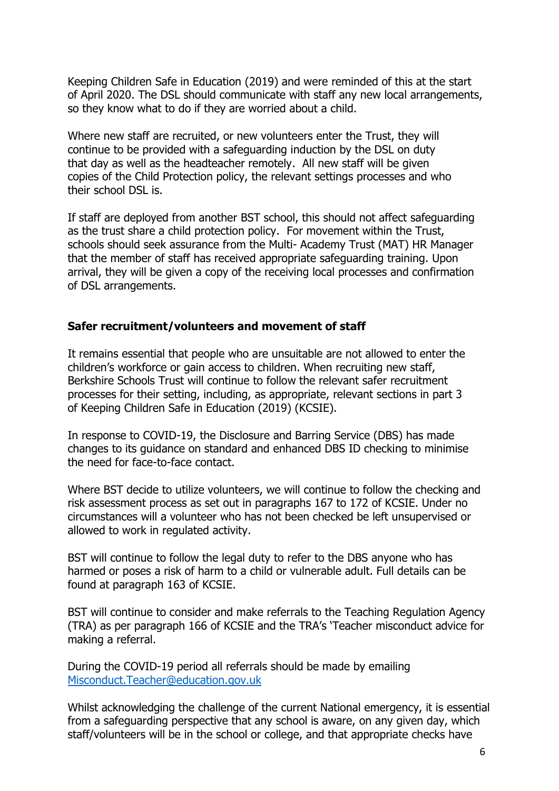Keeping Children Safe in Education (2019) and were reminded of this at the start of April 2020. The DSL should communicate with staff any new local arrangements, so they know what to do if they are worried about a child.

Where new staff are recruited, or new volunteers enter the Trust, they will continue to be provided with a safeguarding induction by the DSL on duty that day as well as the headteacher remotely. All new staff will be given copies of the Child Protection policy, the relevant settings processes and who their school DSL is.

If staff are deployed from another BST school, this should not affect safeguarding as the trust share a child protection policy. For movement within the Trust, schools should seek assurance from the Multi- Academy Trust (MAT) HR Manager that the member of staff has received appropriate safeguarding training. Upon arrival, they will be given a copy of the receiving local processes and confirmation of DSL arrangements.

#### **Safer recruitment/volunteers and movement of staff**

It remains essential that people who are unsuitable are not allowed to enter the children's workforce or gain access to children. When recruiting new staff, Berkshire Schools Trust will continue to follow the relevant safer recruitment processes for their setting, including, as appropriate, relevant sections in part 3 of Keeping Children Safe in Education (2019) (KCSIE).

In response to COVID-19, the Disclosure and Barring Service (DBS) has made changes to its guidance on standard and enhanced DBS ID checking to minimise the need for face-to-face contact.

Where BST decide to utilize volunteers, we will continue to follow the checking and risk assessment process as set out in paragraphs 167 to 172 of KCSIE. Under no circumstances will a volunteer who has not been checked be left unsupervised or allowed to work in regulated activity.

BST will continue to follow the legal duty to refer to the DBS anyone who has harmed or poses a risk of harm to a child or vulnerable adult. Full details can be found at paragraph 163 of KCSIE.

BST will continue to consider and make referrals to the Teaching Regulation Agency (TRA) as per paragraph 166 of KCSIE and the TRA's 'Teacher misconduct advice for making a referral.

During the COVID-19 period all referrals should be made by emailing [Misconduct.Teacher@education.gov.uk](mailto:Misconduct.Teacher@education.gov.uk)

Whilst acknowledging the challenge of the current National emergency, it is essential from a safeguarding perspective that any school is aware, on any given day, which staff/volunteers will be in the school or college, and that appropriate checks have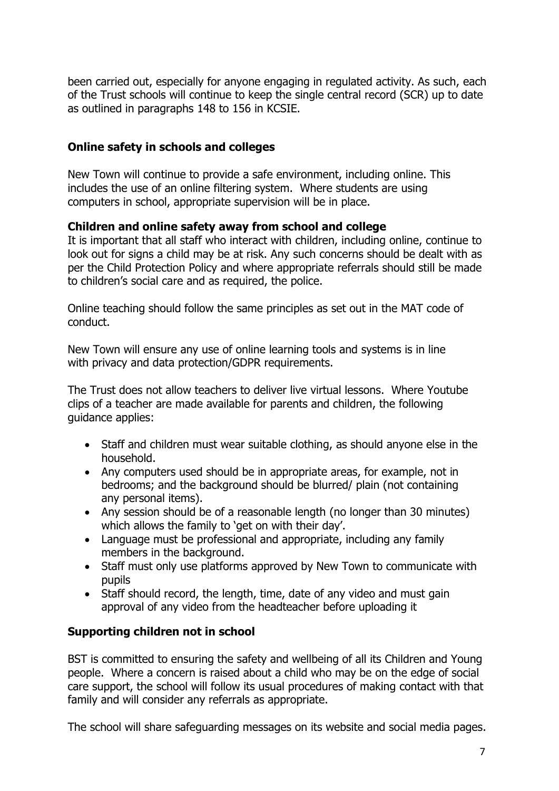been carried out, especially for anyone engaging in regulated activity. As such, each of the Trust schools will continue to keep the single central record (SCR) up to date as outlined in paragraphs 148 to 156 in KCSIE.

## **Online safety in schools and colleges**

New Town will continue to provide a safe environment, including online. This includes the use of an online filtering system. Where students are using computers in school, appropriate supervision will be in place.

## **Children and online safety away from school and college**

It is important that all staff who interact with children, including online, continue to look out for signs a child may be at risk. Any such concerns should be dealt with as per the Child Protection Policy and where appropriate referrals should still be made to children's social care and as required, the police.

Online teaching should follow the same principles as set out in the MAT code of conduct.

New Town will ensure any use of online learning tools and systems is in line with privacy and data protection/GDPR requirements.

The Trust does not allow teachers to deliver live virtual lessons. Where Youtube clips of a teacher are made available for parents and children, the following guidance applies:

- Staff and children must wear suitable clothing, as should anyone else in the household.
- Any computers used should be in appropriate areas, for example, not in bedrooms; and the background should be blurred/ plain (not containing any personal items).
- Any session should be of a reasonable length (no longer than 30 minutes) which allows the family to 'get on with their day'.
- Language must be professional and appropriate, including any family members in the background.
- Staff must only use platforms approved by New Town to communicate with pupils
- Staff should record, the length, time, date of any video and must gain approval of any video from the headteacher before uploading it

## **Supporting children not in school**

BST is committed to ensuring the safety and wellbeing of all its Children and Young people. Where a concern is raised about a child who may be on the edge of social care support, the school will follow its usual procedures of making contact with that family and will consider any referrals as appropriate.

The school will share safeguarding messages on its website and social media pages.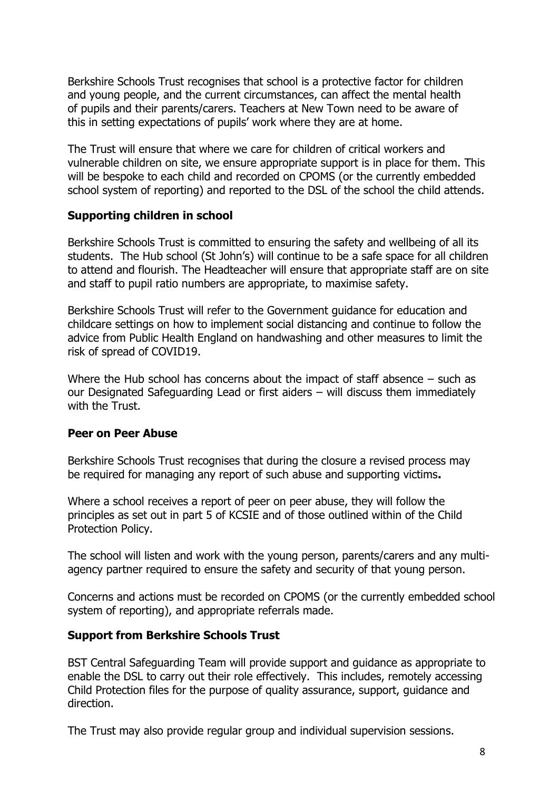Berkshire Schools Trust recognises that school is a protective factor for children and young people, and the current circumstances, can affect the mental health of pupils and their parents/carers. Teachers at New Town need to be aware of this in setting expectations of pupils' work where they are at home.

The Trust will ensure that where we care for children of critical workers and vulnerable children on site, we ensure appropriate support is in place for them. This will be bespoke to each child and recorded on CPOMS (or the currently embedded school system of reporting) and reported to the DSL of the school the child attends.

## **Supporting children in school**

Berkshire Schools Trust is committed to ensuring the safety and wellbeing of all its students. The Hub school (St John's) will continue to be a safe space for all children to attend and flourish. The Headteacher will ensure that appropriate staff are on site and staff to pupil ratio numbers are appropriate, to maximise safety.

Berkshire Schools Trust will refer to the Government guidance for education and childcare settings on how to implement social distancing and continue to follow the advice from Public Health England on handwashing and other measures to limit the risk of spread of COVID19.

Where the Hub school has concerns about the impact of staff absence – such as our Designated Safeguarding Lead or first aiders – will discuss them immediately with the Trust.

#### **Peer on Peer Abuse**

Berkshire Schools Trust recognises that during the closure a revised process may be required for managing any report of such abuse and supporting victims**.**

Where a school receives a report of peer on peer abuse, they will follow the principles as set out in part 5 of KCSIE and of those outlined within of the Child Protection Policy.

The school will listen and work with the young person, parents/carers and any multiagency partner required to ensure the safety and security of that young person.

Concerns and actions must be recorded on CPOMS (or the currently embedded school system of reporting), and appropriate referrals made.

#### **Support from Berkshire Schools Trust**

BST Central Safeguarding Team will provide support and guidance as appropriate to enable the DSL to carry out their role effectively. This includes, remotely accessing Child Protection files for the purpose of quality assurance, support, guidance and direction.

The Trust may also provide regular group and individual supervision sessions.